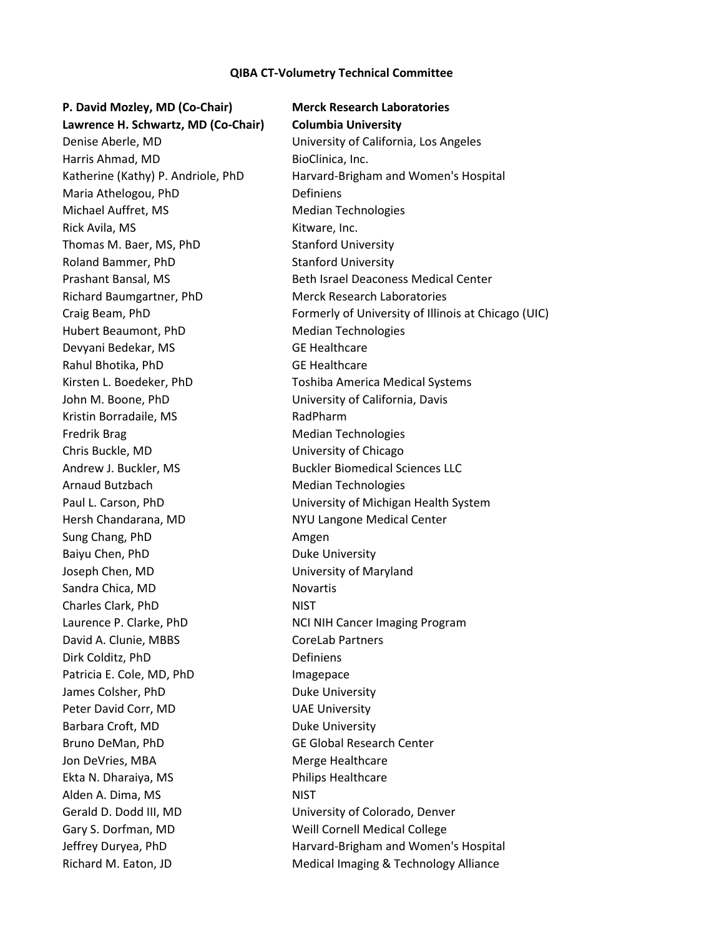## **QIBA CT-Volumetry Technical Committee**

## **P. David Mozley, MD (Co-Chair) Merck Research Laboratories**

**Lawrence H. Schwartz, MD (Co-Chair) Columbia University** Harris Ahmad, MD BioClinica, Inc. Maria Athelogou, PhD Definiens Michael Auffret, MS Median Technologies Rick Avila, MS **Kitware, Inc.** Thomas M. Baer, MS, PhD Stanford University Roland Bammer, PhD Stanford University Richard Baumgartner, PhD Merck Research Laboratories Hubert Beaumont, PhD Median Technologies Devyani Bedekar, MS GE Healthcare Rahul Bhotika, PhD GE Healthcare John M. Boone, PhD University of California, Davis Kristin Borradaile, MS<br>
RadPharm Fredrik Brag Median Technologies Chris Buckle, MD University of Chicago Andrew J. Buckler, MS Buckler Biomedical Sciences LLC Arnaud Butzbach Median Technologies Hersh Chandarana, MD NYU Langone Medical Center Sung Chang, PhD Amgen Baiyu Chen, PhD Duke University Joseph Chen, MD University of Maryland Sandra Chica, MD Novartis Charles Clark, PhD NIST Laurence P. Clarke, PhD NCI NIH Cancer Imaging Program David A. Clunie, MBBS CoreLab Partners Dirk Colditz, PhD Definiens Patricia E. Cole, MD, PhD Imagepace James Colsher, PhD Duke University Peter David Corr, MD UAE University Barbara Croft, MD Duke University Bruno DeMan, PhD GE Global Research Center Jon DeVries, MBA Merge Healthcare Ekta N. Dharaiya, MS **Philips Healthcare** Alden A. Dima, MS NIST Gerald D. Dodd III, MD University of Colorado, Denver Gary S. Dorfman, MD Weill Cornell Medical College Richard M. Eaton, JD Medical Imaging & Technology Alliance

Denise Aberle, MD University of California, Los Angeles Katherine (Kathy) P. Andriole, PhD Harvard-Brigham and Women's Hospital Prashant Bansal, MS Beth Israel Deaconess Medical Center Craig Beam, PhD Formerly of University of Illinois at Chicago (UIC) Kirsten L. Boedeker, PhD Toshiba America Medical Systems Paul L. Carson, PhD University of Michigan Health System Jeffrey Duryea, PhD Harvard-Brigham and Women's Hospital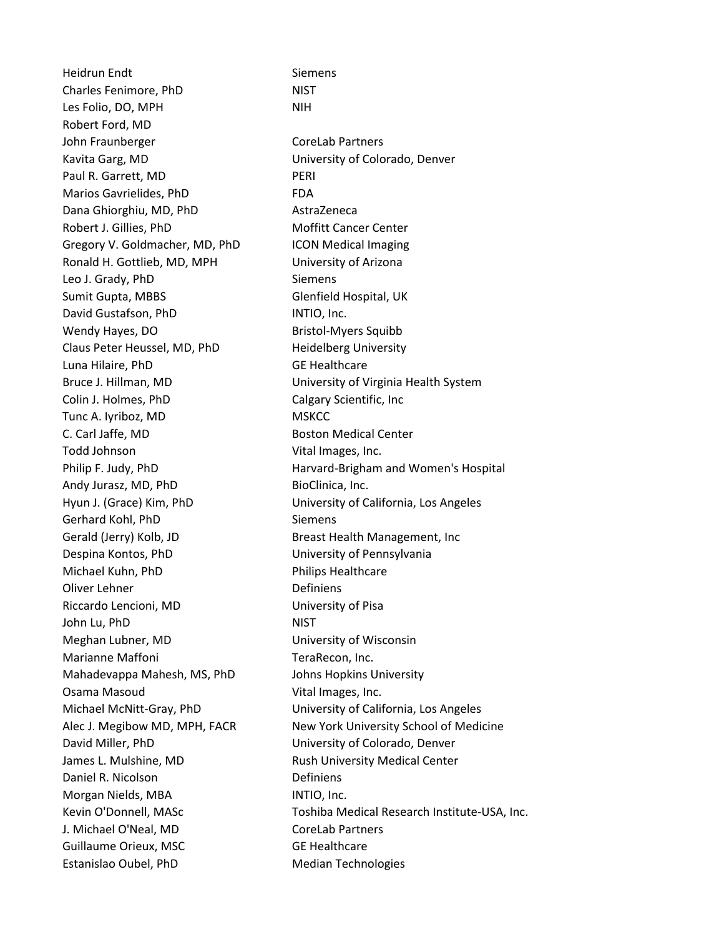Heidrun Endt Siemens Charles Fenimore, PhD NIST Les Folio, DO, MPH NIH Robert Ford, MD John Fraunberger CoreLab Partners Kavita Garg, MD University of Colorado, Denver Paul R. Garrett, MD PERI Marios Gavrielides, PhD FDA Dana Ghiorghiu, MD, PhD AstraZeneca Robert J. Gillies, PhD Moffitt Cancer Center Gregory V. Goldmacher, MD, PhD ICON Medical Imaging Ronald H. Gottlieb, MD, MPH University of Arizona Leo J. Grady, PhD Siemens Sumit Gupta, MBBS Glenfield Hospital, UK David Gustafson, PhD INTIO, Inc. Wendy Hayes, DO Bristol-Myers Squibb Claus Peter Heussel, MD, PhD Heidelberg University Luna Hilaire, PhD GE Healthcare Colin J. Holmes, PhD Calgary Scientific, Inc Tunc A. Iyriboz, MD MSKCC C. Carl Jaffe, MD Boston Medical Center Todd Johnson Vital Images, Inc. Andy Jurasz, MD, PhD BioClinica, Inc. Gerhard Kohl, PhD Siemens Gerald (Jerry) Kolb, JD Breast Health Management, Inc Despina Kontos, PhD University of Pennsylvania Michael Kuhn, PhD Philips Healthcare Oliver Lehner **Definiens** Riccardo Lencioni, MD University of Pisa John Lu, PhD NIST Meghan Lubner, MD University of Wisconsin Marianne Maffoni **TeraRecon**, Inc. Mahadevappa Mahesh, MS, PhD Johns Hopkins University Osama Masoud Vital Images, Inc. David Miller, PhD University of Colorado, Denver James L. Mulshine, MD Rush University Medical Center Daniel R. Nicolson Definiens Morgan Nields, MBA **INTIO**, Inc. J. Michael O'Neal, MD CoreLab Partners Guillaume Orieux, MSC GE Healthcare Estanislao Oubel, PhD Median Technologies

Bruce J. Hillman, MD University of Virginia Health System Philip F. Judy, PhD **Harvard-Brigham and Women's Hospital** Hyun J. (Grace) Kim, PhD University of California, Los Angeles Michael McNitt-Gray, PhD University of California, Los Angeles Alec J. Megibow MD, MPH, FACR New York University School of Medicine Kevin O'Donnell, MASc Toshiba Medical Research Institute-USA, Inc.